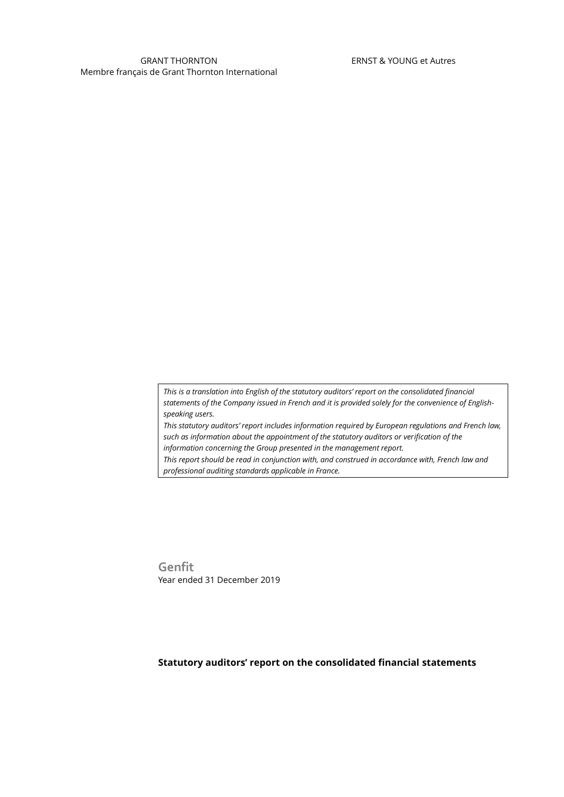*This is a translation into English of the statutory auditors' report on the consolidated financial statements of the Company issued in French and it is provided solely for the convenience of Englishspeaking users.*

*This statutory auditors' report includes information required by European regulations and French law, such as information about the appointment of the statutory auditors or verification of the information concerning the Group presented in the management report.*

*This report should be read in conjunction with, and construed in accordance with, French law and professional auditing standards applicable in France.*

**Genfit** Year ended 31 December 2019

## **Statutory auditors' report on the consolidated financial statements**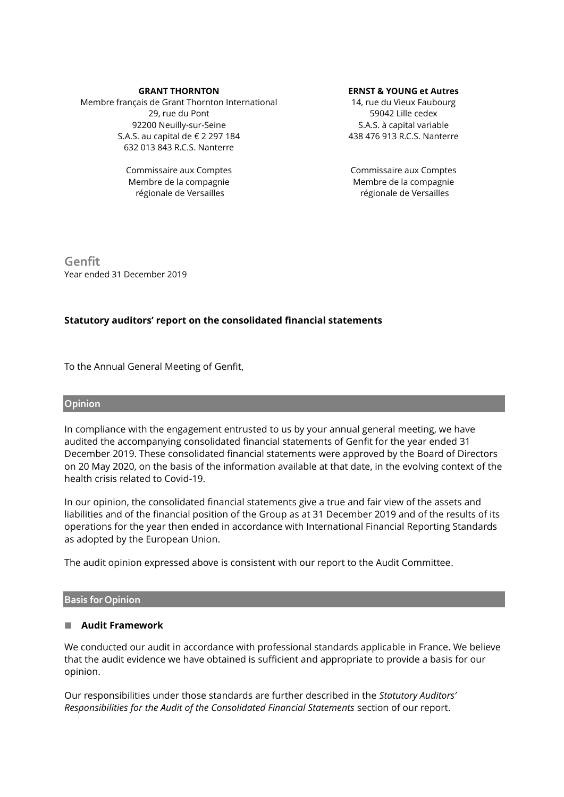#### **GRANT THORNTON**

Membre français de Grant Thornton International 29, rue du Pont 92200 Neuilly-sur-Seine S.A.S. au capital de € 2 297 184 632 013 843 R.C.S. Nanterre

> Commissaire aux Comptes Membre de la compagnie régionale de Versailles

#### **ERNST & YOUNG et Autres**

14, rue du Vieux Faubourg 59042 Lille cedex S.A.S. à capital variable 438 476 913 R.C.S. Nanterre

Commissaire aux Comptes Membre de la compagnie régionale de Versailles

**Genfit** Year ended 31 December 2019

# **Statutory auditors' report on the consolidated financial statements**

To the Annual General Meeting of Genfit,

## **Opinion**

In compliance with the engagement entrusted to us by your annual general meeting, we have audited the accompanying consolidated financial statements of Genfit for the year ended 31 December 2019. These consolidated financial statements were approved by the Board of Directors on 20 May 2020, on the basis of the information available at that date, in the evolving context of the health crisis related to Covid-19.

In our opinion, the consolidated financial statements give a true and fair view of the assets and liabilities and of the financial position of the Group as at 31 December 2019 and of the results of its operations for the year then ended in accordance with International Financial Reporting Standards as adopted by the European Union.

The audit opinion expressed above is consistent with our report to the Audit Committee.

## **Basis for Opinion**

## **Audit Framework**

We conducted our audit in accordance with professional standards applicable in France. We believe that the audit evidence we have obtained is sufficient and appropriate to provide a basis for our opinion.

Our responsibilities under those standards are further described in the *Statutory Auditors' Responsibilities for the Audit of the Consolidated Financial Statements* section of our report.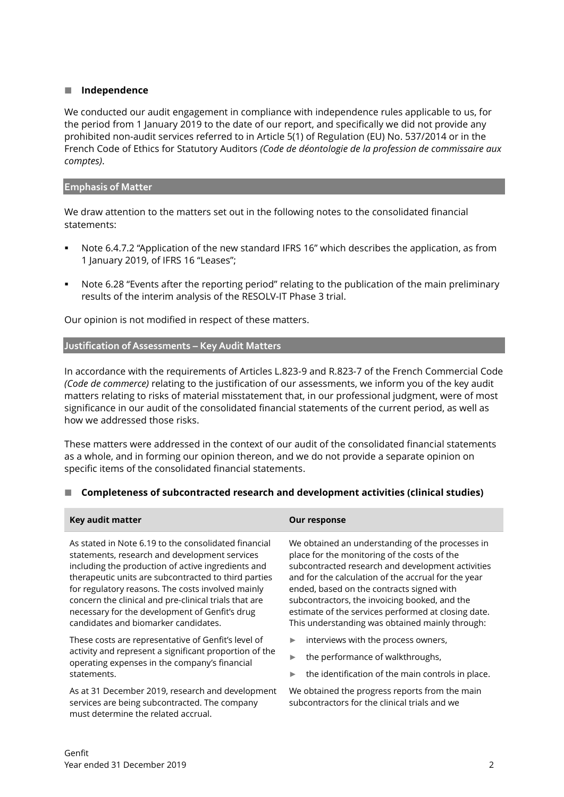## **Independence**

We conducted our audit engagement in compliance with independence rules applicable to us, for the period from 1 January 2019 to the date of our report, and specifically we did not provide any prohibited non-audit services referred to in Article 5(1) of Regulation (EU) No. 537/2014 or in the French Code of Ethics for Statutory Auditors *(Code de déontologie de la profession de commissaire aux comptes)*.

## **Emphasis of Matter**

We draw attention to the matters set out in the following notes to the consolidated financial statements:

- Note 6.4.7.2 "Application of the new standard IFRS 16" which describes the application, as from 1 January 2019, of IFRS 16 "Leases";
- Note 6.28 "Events after the reporting period" relating to the publication of the main preliminary results of the interim analysis of the RESOLV-IT Phase 3 trial.

Our opinion is not modified in respect of these matters.

## **Justification of Assessments – Key Audit Matters**

In accordance with the requirements of Articles L.823-9 and R.823-7 of the French Commercial Code *(Code de commerce)* relating to the justification of our assessments, we inform you of the key audit matters relating to risks of material misstatement that, in our professional judgment, were of most significance in our audit of the consolidated financial statements of the current period, as well as how we addressed those risks.

These matters were addressed in the context of our audit of the consolidated financial statements as a whole, and in forming our opinion thereon, and we do not provide a separate opinion on specific items of the consolidated financial statements.

# ■ Completeness of subcontracted research and development activities (clinical studies)

| Key audit matter                                                                                                                                                                                                                                                                                                                                                                                                            | Our response                                                                                                                                                                                                                                                                                                                                                                                                         |
|-----------------------------------------------------------------------------------------------------------------------------------------------------------------------------------------------------------------------------------------------------------------------------------------------------------------------------------------------------------------------------------------------------------------------------|----------------------------------------------------------------------------------------------------------------------------------------------------------------------------------------------------------------------------------------------------------------------------------------------------------------------------------------------------------------------------------------------------------------------|
| As stated in Note 6.19 to the consolidated financial<br>statements, research and development services<br>including the production of active ingredients and<br>therapeutic units are subcontracted to third parties<br>for regulatory reasons. The costs involved mainly<br>concern the clinical and pre-clinical trials that are<br>necessary for the development of Genfit's drug<br>candidates and biomarker candidates. | We obtained an understanding of the processes in<br>place for the monitoring of the costs of the<br>subcontracted research and development activities<br>and for the calculation of the accrual for the year<br>ended, based on the contracts signed with<br>subcontractors, the invoicing booked, and the<br>estimate of the services performed at closing date.<br>This understanding was obtained mainly through: |
| These costs are representative of Genfit's level of<br>activity and represent a significant proportion of the<br>operating expenses in the company's financial<br>statements.                                                                                                                                                                                                                                               | interviews with the process owners,<br>▶<br>the performance of walkthroughs,<br>▶                                                                                                                                                                                                                                                                                                                                    |
|                                                                                                                                                                                                                                                                                                                                                                                                                             | the identification of the main controls in place.<br>▶                                                                                                                                                                                                                                                                                                                                                               |
| As at 31 December 2019, research and development<br>services are being subcontracted. The company<br>must determine the related accrual.                                                                                                                                                                                                                                                                                    | We obtained the progress reports from the main<br>subcontractors for the clinical trials and we                                                                                                                                                                                                                                                                                                                      |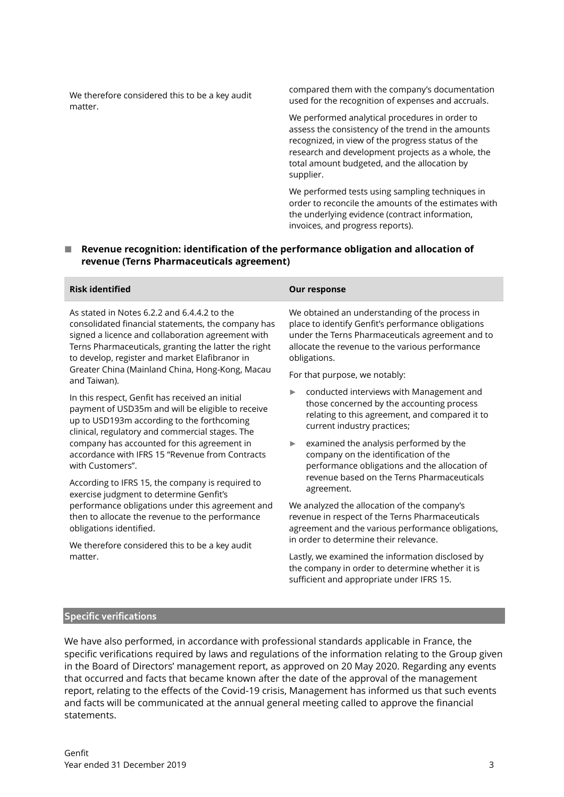We therefore considered this to be a key audit matter.

compared them with the company's documentation used for the recognition of expenses and accruals.

We performed analytical procedures in order to assess the consistency of the trend in the amounts recognized, in view of the progress status of the research and development projects as a whole, the total amount budgeted, and the allocation by supplier.

We performed tests using sampling techniques in order to reconcile the amounts of the estimates with the underlying evidence (contract information, invoices, and progress reports).

## ■ Revenue recognition: identification of the performance obligation and allocation of **revenue (Terns Pharmaceuticals agreement)**

### **Risk identified Our response**

As stated in Notes 6.2.2 and 6.4.4.2 to the consolidated financial statements, the company has signed a licence and collaboration agreement with Terns Pharmaceuticals, granting the latter the right to develop, register and market Elafibranor in Greater China (Mainland China, Hong-Kong, Macau and Taiwan).

In this respect, Genfit has received an initial payment of USD35m and will be eligible to receive up to USD193m according to the forthcoming clinical, regulatory and commercial stages. The company has accounted for this agreement in accordance with IFRS 15 "Revenue from Contracts with Customers".

According to IFRS 15, the company is required to exercise judgment to determine Genfit's performance obligations under this agreement and then to allocate the revenue to the performance obligations identified.

We therefore considered this to be a key audit matter.

We obtained an understanding of the process in place to identify Genfit's performance obligations under the Terns Pharmaceuticals agreement and to allocate the revenue to the various performance obligations.

For that purpose, we notably:

- ► conducted interviews with Management and those concerned by the accounting process relating to this agreement, and compared it to current industry practices;
- examined the analysis performed by the company on the identification of the performance obligations and the allocation of revenue based on the Terns Pharmaceuticals agreement.

We analyzed the allocation of the company's revenue in respect of the Terns Pharmaceuticals agreement and the various performance obligations, in order to determine their relevance.

Lastly, we examined the information disclosed by the company in order to determine whether it is sufficient and appropriate under IFRS 15.

### **Specific verifications**

We have also performed, in accordance with professional standards applicable in France, the specific verifications required by laws and regulations of the information relating to the Group given in the Board of Directors' management report, as approved on 20 May 2020. Regarding any events that occurred and facts that became known after the date of the approval of the management report, relating to the effects of the Covid-19 crisis, Management has informed us that such events and facts will be communicated at the annual general meeting called to approve the financial statements.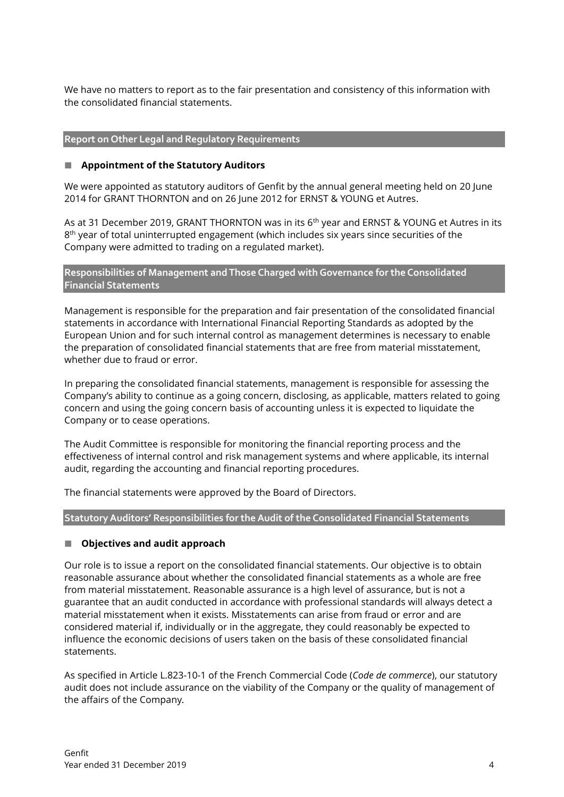We have no matters to report as to the fair presentation and consistency of this information with the consolidated financial statements.

## **Report on Other Legal and Regulatory Requirements**

## **Appointment of the Statutory Auditors**

We were appointed as statutory auditors of Genfit by the annual general meeting held on 20 June 2014 for GRANT THORNTON and on 26 June 2012 for ERNST & YOUNG et Autres.

As at 31 December 2019, GRANT THORNTON was in its 6<sup>th</sup> year and ERNST & YOUNG et Autres in its  $8^{\text{th}}$  year of total uninterrupted engagement (which includes six years since securities of the Company were admitted to trading on a regulated market).

**Responsibilities of Management and Those Charged with Governance for the Consolidated Financial Statements**

Management is responsible for the preparation and fair presentation of the consolidated financial statements in accordance with International Financial Reporting Standards as adopted by the European Union and for such internal control as management determines is necessary to enable the preparation of consolidated financial statements that are free from material misstatement, whether due to fraud or error.

In preparing the consolidated financial statements, management is responsible for assessing the Company's ability to continue as a going concern, disclosing, as applicable, matters related to going concern and using the going concern basis of accounting unless it is expected to liquidate the Company or to cease operations.

The Audit Committee is responsible for monitoring the financial reporting process and the effectiveness of internal control and risk management systems and where applicable, its internal audit, regarding the accounting and financial reporting procedures.

The financial statements were approved by the Board of Directors.

**Statutory Auditors' Responsibilities for the Audit of the Consolidated Financial Statements**

## **Objectives and audit approach**

Our role is to issue a report on the consolidated financial statements. Our objective is to obtain reasonable assurance about whether the consolidated financial statements as a whole are free from material misstatement. Reasonable assurance is a high level of assurance, but is not a guarantee that an audit conducted in accordance with professional standards will always detect a material misstatement when it exists. Misstatements can arise from fraud or error and are considered material if, individually or in the aggregate, they could reasonably be expected to influence the economic decisions of users taken on the basis of these consolidated financial statements.

As specified in Article L.823-10-1 of the French Commercial Code (*Code de commerce*), our statutory audit does not include assurance on the viability of the Company or the quality of management of the affairs of the Company.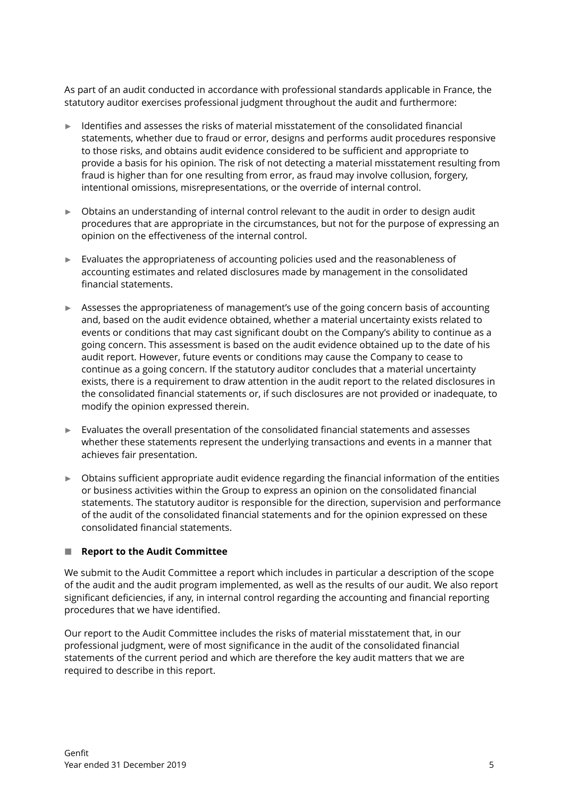As part of an audit conducted in accordance with professional standards applicable in France, the statutory auditor exercises professional judgment throughout the audit and furthermore:

- Identifies and assesses the risks of material misstatement of the consolidated financial statements, whether due to fraud or error, designs and performs audit procedures responsive to those risks, and obtains audit evidence considered to be sufficient and appropriate to provide a basis for his opinion. The risk of not detecting a material misstatement resulting from fraud is higher than for one resulting from error, as fraud may involve collusion, forgery, intentional omissions, misrepresentations, or the override of internal control.
- ► Obtains an understanding of internal control relevant to the audit in order to design audit procedures that are appropriate in the circumstances, but not for the purpose of expressing an opinion on the effectiveness of the internal control.
- ► Evaluates the appropriateness of accounting policies used and the reasonableness of accounting estimates and related disclosures made by management in the consolidated financial statements.
- ► Assesses the appropriateness of management's use of the going concern basis of accounting and, based on the audit evidence obtained, whether a material uncertainty exists related to events or conditions that may cast significant doubt on the Company's ability to continue as a going concern. This assessment is based on the audit evidence obtained up to the date of his audit report. However, future events or conditions may cause the Company to cease to continue as a going concern. If the statutory auditor concludes that a material uncertainty exists, there is a requirement to draw attention in the audit report to the related disclosures in the consolidated financial statements or, if such disclosures are not provided or inadequate, to modify the opinion expressed therein.
- ► Evaluates the overall presentation of the consolidated financial statements and assesses whether these statements represent the underlying transactions and events in a manner that achieves fair presentation.
- ► Obtains sufficient appropriate audit evidence regarding the financial information of the entities or business activities within the Group to express an opinion on the consolidated financial statements. The statutory auditor is responsible for the direction, supervision and performance of the audit of the consolidated financial statements and for the opinion expressed on these consolidated financial statements.

# ■ Report to the Audit Committee

We submit to the Audit Committee a report which includes in particular a description of the scope of the audit and the audit program implemented, as well as the results of our audit. We also report significant deficiencies, if any, in internal control regarding the accounting and financial reporting procedures that we have identified.

Our report to the Audit Committee includes the risks of material misstatement that, in our professional judgment, were of most significance in the audit of the consolidated financial statements of the current period and which are therefore the key audit matters that we are required to describe in this report.